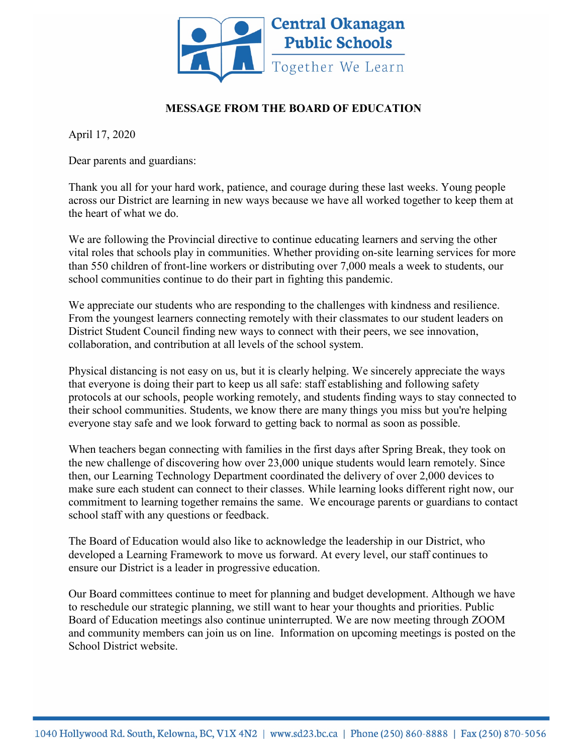

## **MESSAGE FROM THE BOARD OF EDUCATION**

April 17, 2020

Dear parents and guardians:

Thank you all for your hard work, patience, and courage during these last weeks. Young people across our District are learning in new ways because we have all worked together to keep them at the heart of what we do.

We are following the Provincial directive to continue educating learners and serving the other vital roles that schools play in communities. Whether providing on-site learning services for more than 550 children of front-line workers or distributing over 7,000 meals a week to students, our school communities continue to do their part in fighting this pandemic.

We appreciate our students who are responding to the challenges with kindness and resilience. From the youngest learners connecting remotely with their classmates to our student leaders on District Student Council finding new ways to connect with their peers, we see innovation, collaboration, and contribution at all levels of the school system.

Physical distancing is not easy on us, but it is clearly helping. We sincerely appreciate the ways that everyone is doing their part to keep us all safe: staff establishing and following safety protocols at our schools, people working remotely, and students finding ways to stay connected to their school communities. Students, we know there are many things you miss but you're helping everyone stay safe and we look forward to getting back to normal as soon as possible.

When teachers began connecting with families in the first days after Spring Break, they took on the new challenge of discovering how over 23,000 unique students would learn remotely. Since then, our Learning Technology Department coordinated the delivery of over 2,000 devices to make sure each student can connect to their classes. While learning looks different right now, our commitment to learning together remains the same. We encourage parents or guardians to contact school staff with any questions or feedback.

The Board of Education would also like to acknowledge the leadership in our District, who developed a Learning Framework to move us forward. At every level, our staff continues to ensure our District is a leader in progressive education.

Our Board committees continue to meet for planning and budget development. Although we have to reschedule our strategic planning, we still want to hear your thoughts and priorities. Public Board of Education meetings also continue uninterrupted. We are now meeting through ZOOM and community members can join us on line. Information on upcoming meetings is posted on the School District website.